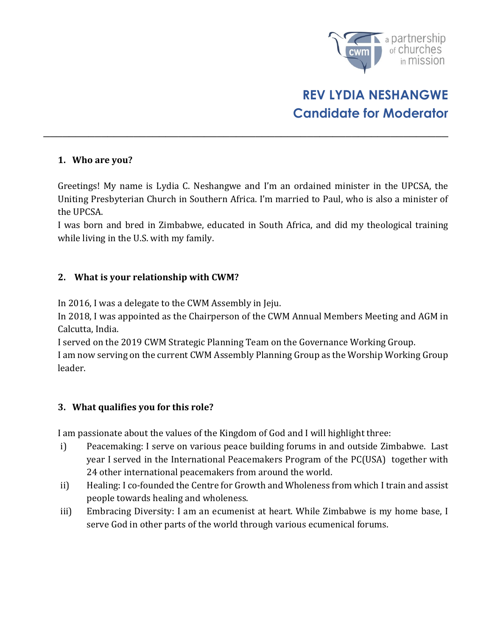

# REV LYDIA NESHANGWE Candidate for Moderator

### 1. Who are you?

Greetings! My name is Lydia C. Neshangwe and I'm an ordained minister in the UPCSA, the Uniting Presbyterian Church in Southern Africa. I'm married to Paul, who is also a minister of the UPCSA.

\_\_\_\_\_\_\_\_\_\_\_\_\_\_\_\_\_\_\_\_\_\_\_\_\_\_\_\_\_\_\_\_\_\_\_\_\_\_\_\_\_\_\_\_\_\_\_\_\_\_\_\_\_\_\_\_\_\_\_\_\_\_\_

I was born and bred in Zimbabwe, educated in South Africa, and did my theological training while living in the U.S. with my family.

### 2. What is your relationship with CWM?

In 2016, I was a delegate to the CWM Assembly in Jeju.

In 2018, I was appointed as the Chairperson of the CWM Annual Members Meeting and AGM in Calcutta, India.

I served on the 2019 CWM Strategic Planning Team on the Governance Working Group. I am now serving on the current CWM Assembly Planning Group as the Worship Working Group leader.

### 3. What qualifies you for this role?

I am passionate about the values of the Kingdom of God and I will highlight three:

- i) Peacemaking: I serve on various peace building forums in and outside Zimbabwe. Last year I served in the International Peacemakers Program of the PC(USA) together with 24 other international peacemakers from around the world.
- ii) Healing: I co-founded the Centre for Growth and Wholeness from which I train and assist people towards healing and wholeness.
- iii) Embracing Diversity: I am an ecumenist at heart. While Zimbabwe is my home base, I serve God in other parts of the world through various ecumenical forums.